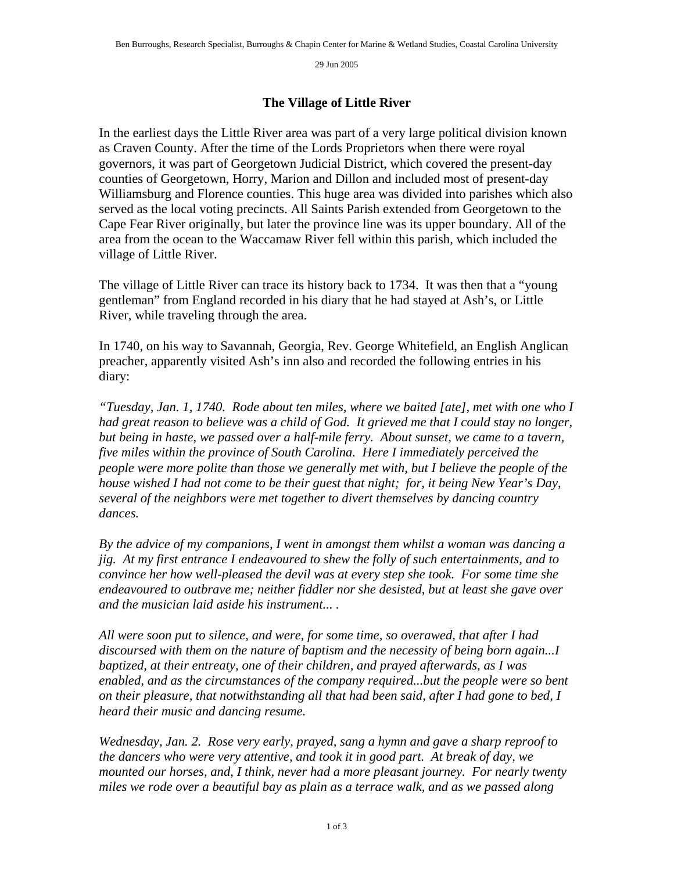29 Jun 2005

## **The Village of Little River**

In the earliest days the Little River area was part of a very large political division known as Craven County. After the time of the Lords Proprietors when there were royal governors, it was part of Georgetown Judicial District, which covered the present-day counties of Georgetown, Horry, Marion and Dillon and included most of present-day Williamsburg and Florence counties. This huge area was divided into parishes which also served as the local voting precincts. All Saints Parish extended from Georgetown to the Cape Fear River originally, but later the province line was its upper boundary. All of the area from the ocean to the Waccamaw River fell within this parish, which included the village of Little River.

The village of Little River can trace its history back to 1734. It was then that a "young gentleman" from England recorded in his diary that he had stayed at Ash's, or Little River, while traveling through the area.

In 1740, on his way to Savannah, Georgia, Rev. George Whitefield, an English Anglican preacher, apparently visited Ash's inn also and recorded the following entries in his diary:

*"Tuesday, Jan. 1, 1740. Rode about ten miles, where we baited [ate], met with one who I*  had great reason to believe was a child of God. It grieved me that I could stay no longer, *but being in haste, we passed over a half-mile ferry. About sunset, we came to a tavern, five miles within the province of South Carolina. Here I immediately perceived the people were more polite than those we generally met with, but I believe the people of the house wished I had not come to be their guest that night; for, it being New Year's Day, several of the neighbors were met together to divert themselves by dancing country dances.* 

*By the advice of my companions, I went in amongst them whilst a woman was dancing a jig. At my first entrance I endeavoured to shew the folly of such entertainments, and to convince her how well-pleased the devil was at every step she took. For some time she endeavoured to outbrave me; neither fiddler nor she desisted, but at least she gave over and the musician laid aside his instrument... .* 

*All were soon put to silence, and were, for some time, so overawed, that after I had discoursed with them on the nature of baptism and the necessity of being born again...I baptized, at their entreaty, one of their children, and prayed afterwards, as I was enabled, and as the circumstances of the company required...but the people were so bent on their pleasure, that notwithstanding all that had been said, after I had gone to bed, I heard their music and dancing resume.* 

*Wednesday, Jan. 2. Rose very early, prayed, sang a hymn and gave a sharp reproof to the dancers who were very attentive, and took it in good part. At break of day, we mounted our horses, and, I think, never had a more pleasant journey. For nearly twenty miles we rode over a beautiful bay as plain as a terrace walk, and as we passed along*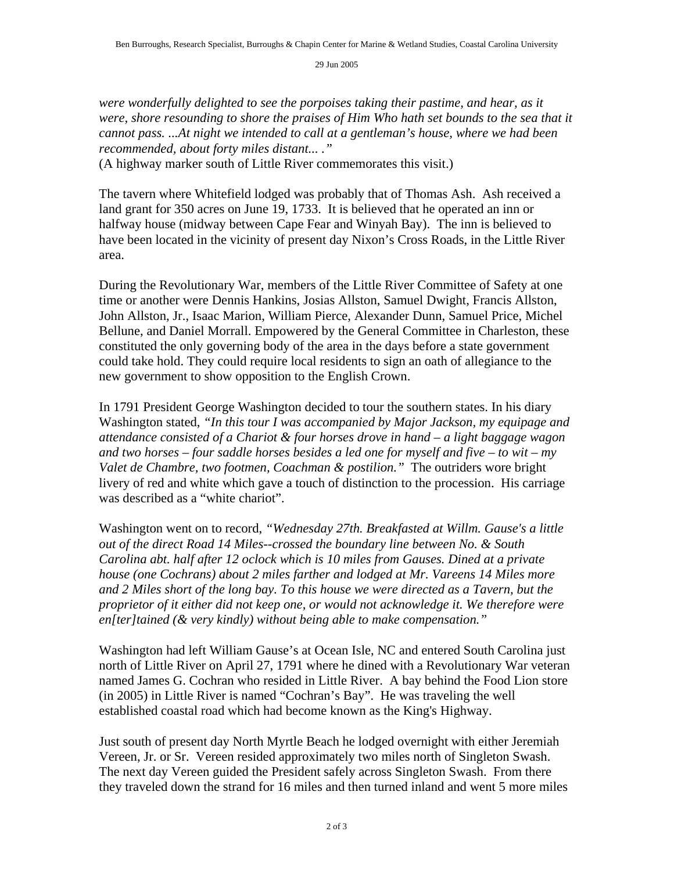29 Jun 2005

*were wonderfully delighted to see the porpoises taking their pastime, and hear, as it were, shore resounding to shore the praises of Him Who hath set bounds to the sea that it cannot pass. ...At night we intended to call at a gentleman's house, where we had been recommended, about forty miles distant... ."* 

(A highway marker south of Little River commemorates this visit.)

The tavern where Whitefield lodged was probably that of Thomas Ash. Ash received a land grant for 350 acres on June 19, 1733. It is believed that he operated an inn or halfway house (midway between Cape Fear and Winyah Bay). The inn is believed to have been located in the vicinity of present day Nixon's Cross Roads, in the Little River area.

During the Revolutionary War, members of the Little River Committee of Safety at one time or another were Dennis Hankins, Josias Allston, Samuel Dwight, Francis Allston, John Allston, Jr., Isaac Marion, William Pierce, Alexander Dunn, Samuel Price, Michel Bellune, and Daniel Morrall. Empowered by the General Committee in Charleston, these constituted the only governing body of the area in the days before a state government could take hold. They could require local residents to sign an oath of allegiance to the new government to show opposition to the English Crown.

In 1791 President George Washington decided to tour the southern states. In his diary Washington stated, *"In this tour I was accompanied by Major Jackson, my equipage and attendance consisted of a Chariot & four horses drove in hand – a light baggage wagon and two horses – four saddle horses besides a led one for myself and five – to wit – my Valet de Chambre, two footmen, Coachman & postilion."* The outriders wore bright livery of red and white which gave a touch of distinction to the procession. His carriage was described as a "white chariot".

Washington went on to record, *"Wednesday 27th. Breakfasted at Willm. Gause's a little out of the direct Road 14 Miles--crossed the boundary line between No. & South Carolina abt. half after 12 oclock which is 10 miles from Gauses. Dined at a private house (one Cochrans) about 2 miles farther and lodged at Mr. Vareens 14 Miles more and 2 Miles short of the long bay. To this house we were directed as a Tavern, but the proprietor of it either did not keep one, or would not acknowledge it. We therefore were en[ter]tained (& very kindly) without being able to make compensation."*

Washington had left William Gause's at Ocean Isle, NC and entered South Carolina just north of Little River on April 27, 1791 where he dined with a Revolutionary War veteran named James G. Cochran who resided in Little River. A bay behind the Food Lion store (in 2005) in Little River is named "Cochran's Bay". He was traveling the well established coastal road which had become known as the King's Highway.

Just south of present day North Myrtle Beach he lodged overnight with either Jeremiah Vereen, Jr. or Sr. Vereen resided approximately two miles north of Singleton Swash. The next day Vereen guided the President safely across Singleton Swash. From there they traveled down the strand for 16 miles and then turned inland and went 5 more miles